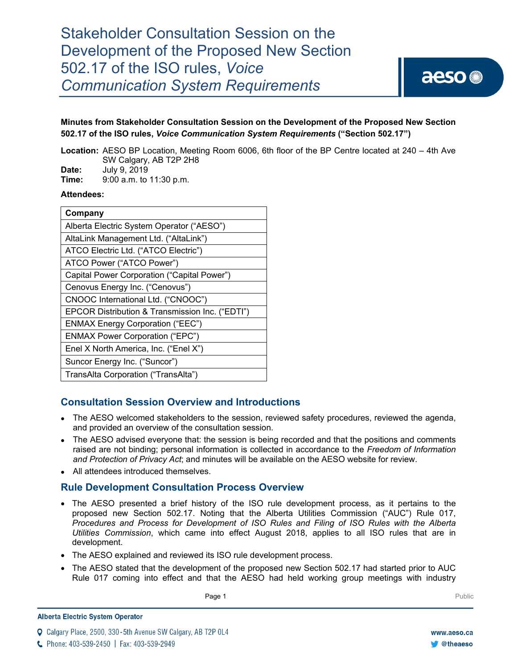# Stakeholder Consultation Session on the Development of the Proposed New Section 502.17 of the ISO rules, *Voice Communication System Requirements*



# **Minutes from Stakeholder Consultation Session on the Development of the Proposed New Section 502.17 of the ISO rules,** *Voice Communication System Requirements* **("Section 502.17")**

**Location:** AESO BP Location, Meeting Room 6006, 6th floor of the BP Centre located at 240 – 4th Ave SW Calgary, AB T2P 2H8

**Date: July 9, 2019**<br>**Time:** 9:00 a m to **Time:** 9:00 a.m. to 11:30 p.m.

## **Attendees:**

| Company                                         |
|-------------------------------------------------|
| Alberta Electric System Operator ("AESO")       |
| AltaLink Management Ltd. ("AltaLink")           |
| ATCO Electric Ltd. ("ATCO Electric")            |
| ATCO Power ("ATCO Power")                       |
| Capital Power Corporation ("Capital Power")     |
| Cenovus Energy Inc. ("Cenovus")                 |
| CNOOC International Ltd. ("CNOOC")              |
| EPCOR Distribution & Transmission Inc. ("EDTI") |
| <b>ENMAX Energy Corporation ("EEC")</b>         |
| <b>ENMAX Power Corporation ("EPC")</b>          |
| Enel X North America, Inc. ("Enel X")           |
| Suncor Energy Inc. ("Suncor")                   |
| TransAlta Corporation ("TransAlta")             |

# **Consultation Session Overview and Introductions**

- The AESO welcomed stakeholders to the session, reviewed safety procedures, reviewed the agenda, and provided an overview of the consultation session.
- The AESO advised everyone that: the session is being recorded and that the positions and comments raised are not binding; personal information is collected in accordance to the *Freedom of Information and Protection of Privacy Act*; and minutes will be available on the AESO website for review.
- All attendees introduced themselves.

# **Rule Development Consultation Process Overview**

- The AESO presented a brief history of the ISO rule development process, as it pertains to the proposed new Section 502.17. Noting that the Alberta Utilities Commission ("AUC") Rule 017, *Procedures and Process for Development of ISO Rules and Filing of ISO Rules with the Alberta Utilities Commission*, which came into effect August 2018, applies to all ISO rules that are in development.
- The AESO explained and reviewed its ISO rule development process.
- The AESO stated that the development of the proposed new Section 502.17 had started prior to AUC Rule 017 coming into effect and that the AESO had held working group meetings with industry

Page 1 Public Property of the Communication of the Communication of the Public Public Public Public Public Public Public Public Public Public Public Public Public Public Public Public Public Public Public Public Public Pub

Q Calgary Place, 2500, 330-5th Avenue SW Calgary, AB T2P 0L4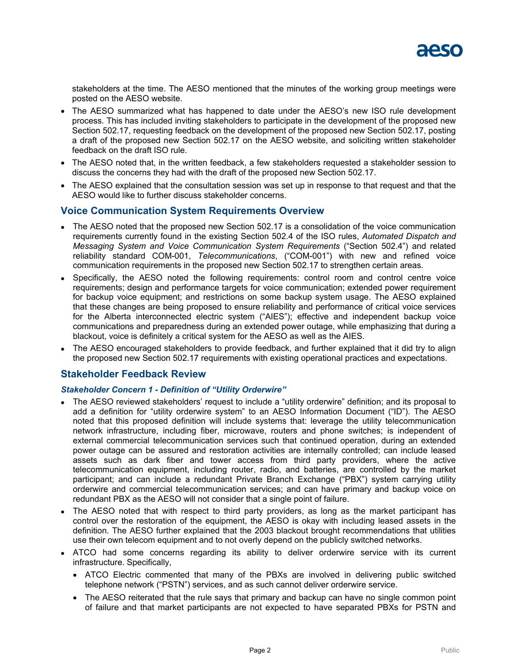stakeholders at the time. The AESO mentioned that the minutes of the working group meetings were posted on the AESO website.

- The AESO summarized what has happened to date under the AESO's new ISO rule development process. This has included inviting stakeholders to participate in the development of the proposed new Section 502.17, requesting feedback on the development of the proposed new Section 502.17, posting a draft of the proposed new Section 502.17 on the AESO website, and soliciting written stakeholder feedback on the draft ISO rule.
- The AESO noted that, in the written feedback, a few stakeholders requested a stakeholder session to discuss the concerns they had with the draft of the proposed new Section 502.17.
- The AESO explained that the consultation session was set up in response to that request and that the AESO would like to further discuss stakeholder concerns.

# **Voice Communication System Requirements Overview**

- The AESO noted that the proposed new Section 502.17 is a consolidation of the voice communication requirements currently found in the existing Section 502.4 of the ISO rules, *Automated Dispatch and Messaging System and Voice Communication System Requirements* ("Section 502.4") and related reliability standard COM-001, *Telecommunications*, ("COM-001") with new and refined voice communication requirements in the proposed new Section 502.17 to strengthen certain areas.
- Specifically, the AESO noted the following requirements: control room and control centre voice requirements; design and performance targets for voice communication; extended power requirement for backup voice equipment; and restrictions on some backup system usage. The AESO explained that these changes are being proposed to ensure reliability and performance of critical voice services for the Alberta interconnected electric system ("AIES"); effective and independent backup voice communications and preparedness during an extended power outage, while emphasizing that during a blackout, voice is definitely a critical system for the AESO as well as the AIES.
- The AESO encouraged stakeholders to provide feedback, and further explained that it did try to align the proposed new Section 502.17 requirements with existing operational practices and expectations.

# **Stakeholder Feedback Review**

## *Stakeholder Concern 1 - Definition of "Utility Orderwire"*

- The AESO reviewed stakeholders' request to include a "utility orderwire" definition; and its proposal to add a definition for "utility orderwire system" to an AESO Information Document ("ID"). The AESO noted that this proposed definition will include systems that: leverage the utility telecommunication network infrastructure, including fiber, microwave, routers and phone switches; is independent of external commercial telecommunication services such that continued operation, during an extended power outage can be assured and restoration activities are internally controlled; can include leased assets such as dark fiber and tower access from third party providers, where the active telecommunication equipment, including router, radio, and batteries, are controlled by the market participant; and can include a redundant Private Branch Exchange ("PBX") system carrying utility orderwire and commercial telecommunication services; and can have primary and backup voice on redundant PBX as the AESO will not consider that a single point of failure.
- The AESO noted that with respect to third party providers, as long as the market participant has control over the restoration of the equipment, the AESO is okay with including leased assets in the definition. The AESO further explained that the 2003 blackout brought recommendations that utilities use their own telecom equipment and to not overly depend on the publicly switched networks.
- ATCO had some concerns regarding its ability to deliver orderwire service with its current infrastructure. Specifically,
	- ATCO Electric commented that many of the PBXs are involved in delivering public switched telephone network ("PSTN") services, and as such cannot deliver orderwire service.
	- The AESO reiterated that the rule says that primary and backup can have no single common point of failure and that market participants are not expected to have separated PBXs for PSTN and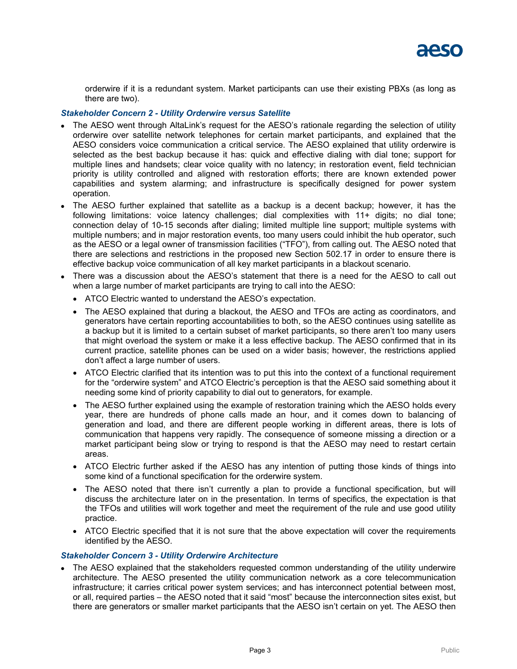orderwire if it is a redundant system. Market participants can use their existing PBXs (as long as there are two).

## *Stakeholder Concern 2 - Utility Orderwire versus Satellite*

- The AESO went through AltaLink's request for the AESO's rationale regarding the selection of utility orderwire over satellite network telephones for certain market participants, and explained that the AESO considers voice communication a critical service. The AESO explained that utility orderwire is selected as the best backup because it has: quick and effective dialing with dial tone; support for multiple lines and handsets; clear voice quality with no latency; in restoration event, field technician priority is utility controlled and aligned with restoration efforts; there are known extended power capabilities and system alarming; and infrastructure is specifically designed for power system operation.
- The AESO further explained that satellite as a backup is a decent backup; however, it has the following limitations: voice latency challenges; dial complexities with 11+ digits; no dial tone; connection delay of 10-15 seconds after dialing; limited multiple line support; multiple systems with multiple numbers; and in major restoration events, too many users could inhibit the hub operator, such as the AESO or a legal owner of transmission facilities ("TFO"), from calling out. The AESO noted that there are selections and restrictions in the proposed new Section 502.17 in order to ensure there is effective backup voice communication of all key market participants in a blackout scenario.
- There was a discussion about the AESO's statement that there is a need for the AESO to call out when a large number of market participants are trying to call into the AESO:
	- ATCO Electric wanted to understand the AESO's expectation.
	- The AESO explained that during a blackout, the AESO and TFOs are acting as coordinators, and generators have certain reporting accountabilities to both, so the AESO continues using satellite as a backup but it is limited to a certain subset of market participants, so there aren't too many users that might overload the system or make it a less effective backup. The AESO confirmed that in its current practice, satellite phones can be used on a wider basis; however, the restrictions applied don't affect a large number of users.
	- ATCO Electric clarified that its intention was to put this into the context of a functional requirement for the "orderwire system" and ATCO Electric's perception is that the AESO said something about it needing some kind of priority capability to dial out to generators, for example.
	- The AESO further explained using the example of restoration training which the AESO holds every year, there are hundreds of phone calls made an hour, and it comes down to balancing of generation and load, and there are different people working in different areas, there is lots of communication that happens very rapidly. The consequence of someone missing a direction or a market participant being slow or trying to respond is that the AESO may need to restart certain areas.
	- ATCO Electric further asked if the AESO has any intention of putting those kinds of things into some kind of a functional specification for the orderwire system.
	- The AESO noted that there isn't currently a plan to provide a functional specification, but will discuss the architecture later on in the presentation. In terms of specifics, the expectation is that the TFOs and utilities will work together and meet the requirement of the rule and use good utility practice.
	- ATCO Electric specified that it is not sure that the above expectation will cover the requirements identified by the AESO.

#### *Stakeholder Concern 3 - Utility Orderwire Architecture*

• The AESO explained that the stakeholders requested common understanding of the utility underwire architecture. The AESO presented the utility communication network as a core telecommunication infrastructure; it carries critical power system services; and has interconnect potential between most, or all, required parties – the AESO noted that it said "most" because the interconnection sites exist, but there are generators or smaller market participants that the AESO isn't certain on yet. The AESO then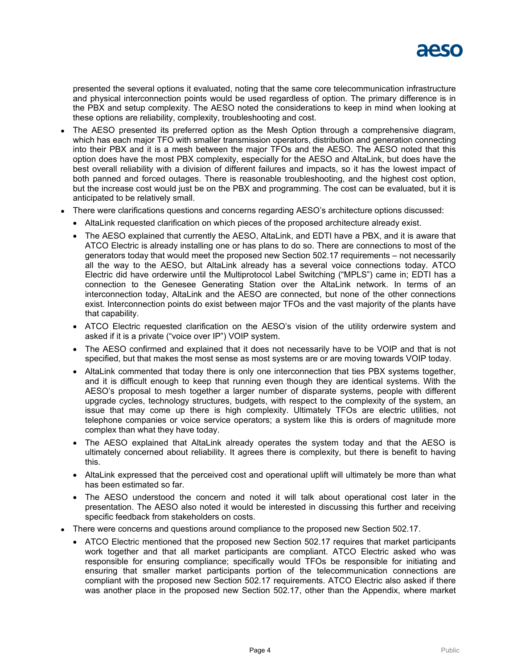

presented the several options it evaluated, noting that the same core telecommunication infrastructure and physical interconnection points would be used regardless of option. The primary difference is in the PBX and setup complexity. The AESO noted the considerations to keep in mind when looking at these options are reliability, complexity, troubleshooting and cost.

- The AESO presented its preferred option as the Mesh Option through a comprehensive diagram, which has each major TFO with smaller transmission operators, distribution and generation connecting into their PBX and it is a mesh between the major TFOs and the AESO. The AESO noted that this option does have the most PBX complexity, especially for the AESO and AltaLink, but does have the best overall reliability with a division of different failures and impacts, so it has the lowest impact of both panned and forced outages. There is reasonable troubleshooting, and the highest cost option, but the increase cost would just be on the PBX and programming. The cost can be evaluated, but it is anticipated to be relatively small.
- There were clarifications questions and concerns regarding AESO's architecture options discussed:
	- AltaLink requested clarification on which pieces of the proposed architecture already exist.
	- The AESO explained that currently the AESO, AltaLink, and EDTI have a PBX, and it is aware that ATCO Electric is already installing one or has plans to do so. There are connections to most of the generators today that would meet the proposed new Section 502.17 requirements – not necessarily all the way to the AESO, but AltaLink already has a several voice connections today. ATCO Electric did have orderwire until the Multiprotocol Label Switching ("MPLS") came in; EDTI has a connection to the Genesee Generating Station over the AltaLink network. In terms of an interconnection today, AltaLink and the AESO are connected, but none of the other connections exist. Interconnection points do exist between major TFOs and the vast majority of the plants have that capability.
	- ATCO Electric requested clarification on the AESO's vision of the utility orderwire system and asked if it is a private ("voice over IP") VOIP system.
	- The AESO confirmed and explained that it does not necessarily have to be VOIP and that is not specified, but that makes the most sense as most systems are or are moving towards VOIP today.
	- AltaLink commented that today there is only one interconnection that ties PBX systems together, and it is difficult enough to keep that running even though they are identical systems. With the AESO's proposal to mesh together a larger number of disparate systems, people with different upgrade cycles, technology structures, budgets, with respect to the complexity of the system, an issue that may come up there is high complexity. Ultimately TFOs are electric utilities, not telephone companies or voice service operators; a system like this is orders of magnitude more complex than what they have today.
	- The AESO explained that AltaLink already operates the system today and that the AESO is ultimately concerned about reliability. It agrees there is complexity, but there is benefit to having this.
	- AltaLink expressed that the perceived cost and operational uplift will ultimately be more than what has been estimated so far.
	- The AESO understood the concern and noted it will talk about operational cost later in the presentation. The AESO also noted it would be interested in discussing this further and receiving specific feedback from stakeholders on costs.
- There were concerns and questions around compliance to the proposed new Section 502.17.
	- ATCO Electric mentioned that the proposed new Section 502.17 requires that market participants work together and that all market participants are compliant. ATCO Electric asked who was responsible for ensuring compliance; specifically would TFOs be responsible for initiating and ensuring that smaller market participants portion of the telecommunication connections are compliant with the proposed new Section 502.17 requirements. ATCO Electric also asked if there was another place in the proposed new Section 502.17, other than the Appendix, where market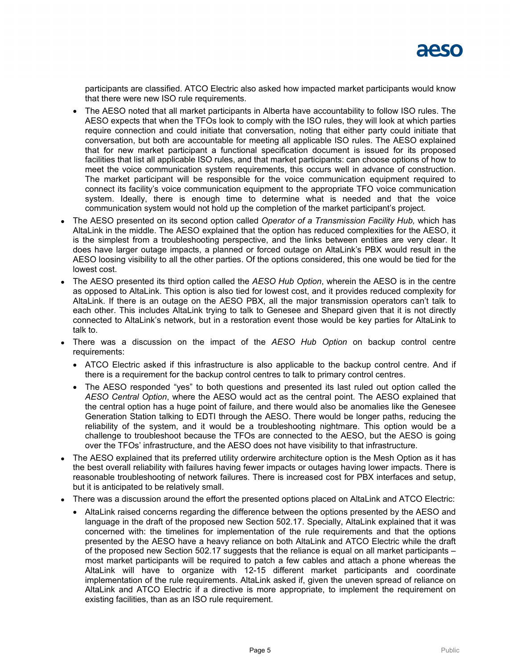participants are classified. ATCO Electric also asked how impacted market participants would know that there were new ISO rule requirements.

- The AESO noted that all market participants in Alberta have accountability to follow ISO rules. The AESO expects that when the TFOs look to comply with the ISO rules, they will look at which parties require connection and could initiate that conversation, noting that either party could initiate that conversation, but both are accountable for meeting all applicable ISO rules. The AESO explained that for new market participant a functional specification document is issued for its proposed facilities that list all applicable ISO rules, and that market participants: can choose options of how to meet the voice communication system requirements, this occurs well in advance of construction. The market participant will be responsible for the voice communication equipment required to connect its facility's voice communication equipment to the appropriate TFO voice communication system. Ideally, there is enough time to determine what is needed and that the voice communication system would not hold up the completion of the market participant's project.
- The AESO presented on its second option called *Operator of a Transmission Facility Hub,* which has AltaLink in the middle. The AESO explained that the option has reduced complexities for the AESO, it is the simplest from a troubleshooting perspective, and the links between entities are very clear. It does have larger outage impacts, a planned or forced outage on AltaLink's PBX would result in the AESO loosing visibility to all the other parties. Of the options considered, this one would be tied for the lowest cost.
- The AESO presented its third option called the *AESO Hub Option*, wherein the AESO is in the centre as opposed to AltaLink. This option is also tied for lowest cost, and it provides reduced complexity for AltaLink. If there is an outage on the AESO PBX, all the major transmission operators can't talk to each other. This includes AltaLink trying to talk to Genesee and Shepard given that it is not directly connected to AltaLink's network, but in a restoration event those would be key parties for AltaLink to talk to.
- There was a discussion on the impact of the *AESO Hub Option* on backup control centre requirements:
	- ATCO Electric asked if this infrastructure is also applicable to the backup control centre. And if there is a requirement for the backup control centres to talk to primary control centres.
	- The AESO responded "yes" to both questions and presented its last ruled out option called the *AESO Central Option*, where the AESO would act as the central point. The AESO explained that the central option has a huge point of failure, and there would also be anomalies like the Genesee Generation Station talking to EDTI through the AESO. There would be longer paths, reducing the reliability of the system, and it would be a troubleshooting nightmare. This option would be a challenge to troubleshoot because the TFOs are connected to the AESO, but the AESO is going over the TFOs' infrastructure, and the AESO does not have visibility to that infrastructure.
- The AESO explained that its preferred utility orderwire architecture option is the Mesh Option as it has the best overall reliability with failures having fewer impacts or outages having lower impacts. There is reasonable troubleshooting of network failures. There is increased cost for PBX interfaces and setup, but it is anticipated to be relatively small.
- There was a discussion around the effort the presented options placed on AltaLink and ATCO Electric:
	- AltaLink raised concerns regarding the difference between the options presented by the AESO and language in the draft of the proposed new Section 502.17. Specially, AltaLink explained that it was concerned with: the timelines for implementation of the rule requirements and that the options presented by the AESO have a heavy reliance on both AltaLink and ATCO Electric while the draft of the proposed new Section 502.17 suggests that the reliance is equal on all market participants – most market participants will be required to patch a few cables and attach a phone whereas the AltaLink will have to organize with 12-15 different market participants and coordinate implementation of the rule requirements. AltaLink asked if, given the uneven spread of reliance on AltaLink and ATCO Electric if a directive is more appropriate, to implement the requirement on existing facilities, than as an ISO rule requirement.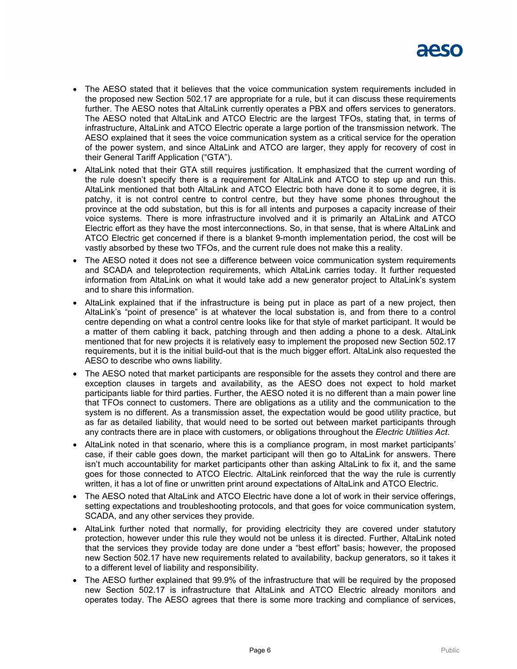

- The AESO stated that it believes that the voice communication system requirements included in the proposed new Section 502.17 are appropriate for a rule, but it can discuss these requirements further. The AESO notes that AltaLink currently operates a PBX and offers services to generators. The AESO noted that AltaLink and ATCO Electric are the largest TFOs, stating that, in terms of infrastructure, AltaLink and ATCO Electric operate a large portion of the transmission network. The AESO explained that it sees the voice communication system as a critical service for the operation of the power system, and since AltaLink and ATCO are larger, they apply for recovery of cost in their General Tariff Application ("GTA").
- AltaLink noted that their GTA still requires justification. It emphasized that the current wording of the rule doesn't specify there is a requirement for AltaLink and ATCO to step up and run this. AltaLink mentioned that both AltaLink and ATCO Electric both have done it to some degree, it is patchy, it is not control centre to control centre, but they have some phones throughout the province at the odd substation, but this is for all intents and purposes a capacity increase of their voice systems. There is more infrastructure involved and it is primarily an AltaLink and ATCO Electric effort as they have the most interconnections. So, in that sense, that is where AltaLink and ATCO Electric get concerned if there is a blanket 9-month implementation period, the cost will be vastly absorbed by these two TFOs, and the current rule does not make this a reality.
- The AESO noted it does not see a difference between voice communication system requirements and SCADA and teleprotection requirements, which AltaLink carries today. It further requested information from AltaLink on what it would take add a new generator project to AltaLink's system and to share this information.
- AltaLink explained that if the infrastructure is being put in place as part of a new project, then AltaLink's "point of presence" is at whatever the local substation is, and from there to a control centre depending on what a control centre looks like for that style of market participant. It would be a matter of them cabling it back, patching through and then adding a phone to a desk. AltaLink mentioned that for new projects it is relatively easy to implement the proposed new Section 502.17 requirements, but it is the initial build-out that is the much bigger effort. AltaLink also requested the AESO to describe who owns liability.
- The AESO noted that market participants are responsible for the assets they control and there are exception clauses in targets and availability, as the AESO does not expect to hold market participants liable for third parties. Further, the AESO noted it is no different than a main power line that TFOs connect to customers. There are obligations as a utility and the communication to the system is no different. As a transmission asset, the expectation would be good utility practice, but as far as detailed liability, that would need to be sorted out between market participants through any contracts there are in place with customers, or obligations throughout the *Electric Utilities Act*.
- AltaLink noted in that scenario, where this is a compliance program, in most market participants' case, if their cable goes down, the market participant will then go to AltaLink for answers. There isn't much accountability for market participants other than asking AltaLink to fix it, and the same goes for those connected to ATCO Electric. AltaLink reinforced that the way the rule is currently written, it has a lot of fine or unwritten print around expectations of AltaLink and ATCO Electric.
- The AESO noted that AltaLink and ATCO Electric have done a lot of work in their service offerings, setting expectations and troubleshooting protocols, and that goes for voice communication system, SCADA, and any other services they provide.
- AltaLink further noted that normally, for providing electricity they are covered under statutory protection, however under this rule they would not be unless it is directed. Further, AltaLink noted that the services they provide today are done under a "best effort" basis; however, the proposed new Section 502.17 have new requirements related to availability, backup generators, so it takes it to a different level of liability and responsibility.
- The AESO further explained that 99.9% of the infrastructure that will be required by the proposed new Section 502.17 is infrastructure that AltaLink and ATCO Electric already monitors and operates today. The AESO agrees that there is some more tracking and compliance of services,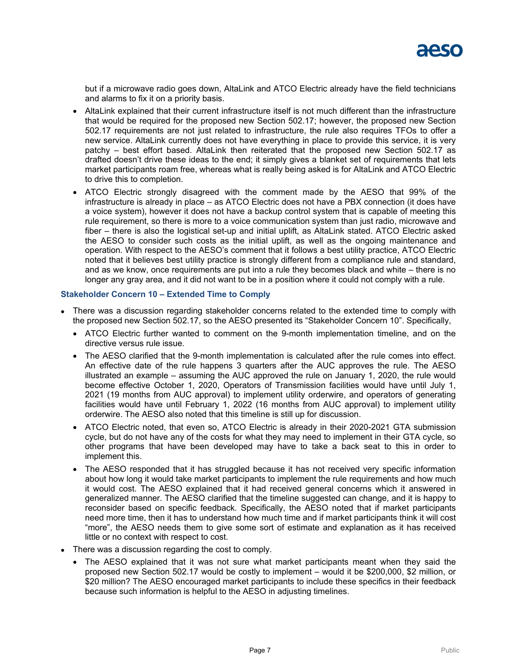but if a microwave radio goes down, AltaLink and ATCO Electric already have the field technicians and alarms to fix it on a priority basis.

- AltaLink explained that their current infrastructure itself is not much different than the infrastructure that would be required for the proposed new Section 502.17; however, the proposed new Section 502.17 requirements are not just related to infrastructure, the rule also requires TFOs to offer a new service. AltaLink currently does not have everything in place to provide this service, it is very patchy – best effort based. AltaLink then reiterated that the proposed new Section 502.17 as drafted doesn't drive these ideas to the end; it simply gives a blanket set of requirements that lets market participants roam free, whereas what is really being asked is for AltaLink and ATCO Electric to drive this to completion.
- ATCO Electric strongly disagreed with the comment made by the AESO that 99% of the infrastructure is already in place – as ATCO Electric does not have a PBX connection (it does have a voice system), however it does not have a backup control system that is capable of meeting this rule requirement, so there is more to a voice communication system than just radio, microwave and fiber – there is also the logistical set-up and initial uplift, as AltaLink stated. ATCO Electric asked the AESO to consider such costs as the initial uplift, as well as the ongoing maintenance and operation. With respect to the AESO's comment that it follows a best utility practice, ATCO Electric noted that it believes best utility practice is strongly different from a compliance rule and standard, and as we know, once requirements are put into a rule they becomes black and white – there is no longer any gray area, and it did not want to be in a position where it could not comply with a rule.

#### **Stakeholder Concern 10 – Extended Time to Comply**

- There was a discussion regarding stakeholder concerns related to the extended time to comply with the proposed new Section 502.17, so the AESO presented its "Stakeholder Concern 10". Specifically,
	- ATCO Electric further wanted to comment on the 9-month implementation timeline, and on the directive versus rule issue.
	- The AESO clarified that the 9-month implementation is calculated after the rule comes into effect. An effective date of the rule happens 3 quarters after the AUC approves the rule. The AESO illustrated an example – assuming the AUC approved the rule on January 1, 2020, the rule would become effective October 1, 2020, Operators of Transmission facilities would have until July 1, 2021 (19 months from AUC approval) to implement utility orderwire, and operators of generating facilities would have until February 1, 2022 (16 months from AUC approval) to implement utility orderwire. The AESO also noted that this timeline is still up for discussion.
	- ATCO Electric noted, that even so, ATCO Electric is already in their 2020-2021 GTA submission cycle, but do not have any of the costs for what they may need to implement in their GTA cycle, so other programs that have been developed may have to take a back seat to this in order to implement this.
	- The AESO responded that it has struggled because it has not received very specific information about how long it would take market participants to implement the rule requirements and how much it would cost. The AESO explained that it had received general concerns which it answered in generalized manner. The AESO clarified that the timeline suggested can change, and it is happy to reconsider based on specific feedback. Specifically, the AESO noted that if market participants need more time, then it has to understand how much time and if market participants think it will cost "more", the AESO needs them to give some sort of estimate and explanation as it has received little or no context with respect to cost.
- There was a discussion regarding the cost to comply.
	- The AESO explained that it was not sure what market participants meant when they said the proposed new Section 502.17 would be costly to implement – would it be \$200,000, \$2 million, or \$20 million? The AESO encouraged market participants to include these specifics in their feedback because such information is helpful to the AESO in adjusting timelines.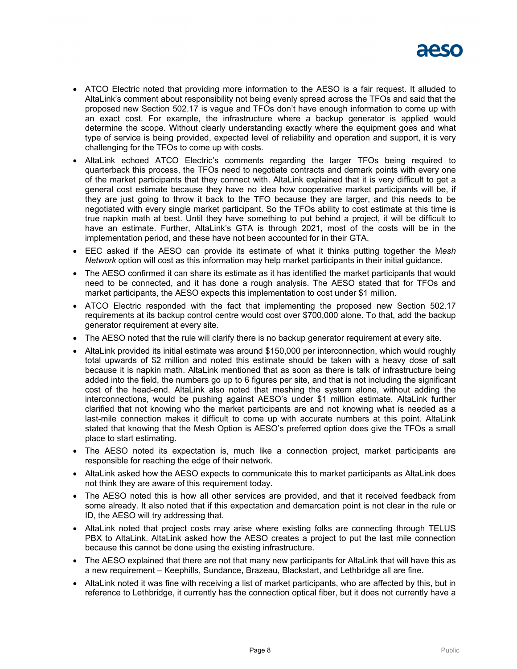

- ATCO Electric noted that providing more information to the AESO is a fair request. It alluded to AltaLink's comment about responsibility not being evenly spread across the TFOs and said that the proposed new Section 502.17 is vague and TFOs don't have enough information to come up with an exact cost. For example, the infrastructure where a backup generator is applied would determine the scope. Without clearly understanding exactly where the equipment goes and what type of service is being provided, expected level of reliability and operation and support, it is very challenging for the TFOs to come up with costs.
- AltaLink echoed ATCO Electric's comments regarding the larger TFOs being required to quarterback this process, the TFOs need to negotiate contracts and demark points with every one of the market participants that they connect with. AltaLink explained that it is very difficult to get a general cost estimate because they have no idea how cooperative market participants will be, if they are just going to throw it back to the TFO because they are larger, and this needs to be negotiated with every single market participant. So the TFOs ability to cost estimate at this time is true napkin math at best. Until they have something to put behind a project, it will be difficult to have an estimate. Further, AltaLink's GTA is through 2021, most of the costs will be in the implementation period, and these have not been accounted for in their GTA.
- EEC asked if the AESO can provide its estimate of what it thinks putting together the M*esh Network* option will cost as this information may help market participants in their initial guidance.
- The AESO confirmed it can share its estimate as it has identified the market participants that would need to be connected, and it has done a rough analysis. The AESO stated that for TFOs and market participants, the AESO expects this implementation to cost under \$1 million.
- ATCO Electric responded with the fact that implementing the proposed new Section 502.17 requirements at its backup control centre would cost over \$700,000 alone. To that, add the backup generator requirement at every site.
- The AESO noted that the rule will clarify there is no backup generator requirement at every site.
- AltaLink provided its initial estimate was around \$150,000 per interconnection, which would roughly total upwards of \$2 million and noted this estimate should be taken with a heavy dose of salt because it is napkin math. AltaLink mentioned that as soon as there is talk of infrastructure being added into the field, the numbers go up to 6 figures per site, and that is not including the significant cost of the head-end. AltaLink also noted that meshing the system alone, without adding the interconnections, would be pushing against AESO's under \$1 million estimate. AltaLink further clarified that not knowing who the market participants are and not knowing what is needed as a last-mile connection makes it difficult to come up with accurate numbers at this point. AltaLink stated that knowing that the Mesh Option is AESO's preferred option does give the TFOs a small place to start estimating.
- The AESO noted its expectation is, much like a connection project, market participants are responsible for reaching the edge of their network.
- AltaLink asked how the AESO expects to communicate this to market participants as AltaLink does not think they are aware of this requirement today.
- The AESO noted this is how all other services are provided, and that it received feedback from some already. It also noted that if this expectation and demarcation point is not clear in the rule or ID, the AESO will try addressing that.
- AltaLink noted that project costs may arise where existing folks are connecting through TELUS PBX to AltaLink. AltaLink asked how the AESO creates a project to put the last mile connection because this cannot be done using the existing infrastructure.
- The AESO explained that there are not that many new participants for AltaLink that will have this as a new requirement – Keephills, Sundance, Brazeau, Blackstart, and Lethbridge all are fine.
- AltaLink noted it was fine with receiving a list of market participants, who are affected by this, but in reference to Lethbridge, it currently has the connection optical fiber, but it does not currently have a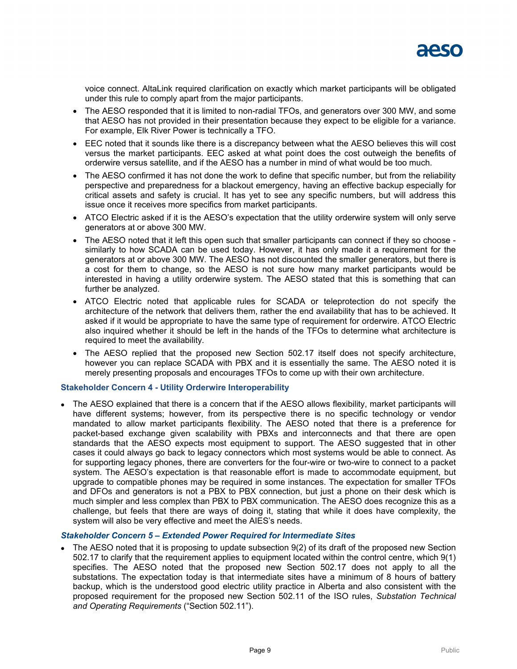

voice connect. AltaLink required clarification on exactly which market participants will be obligated under this rule to comply apart from the major participants.

- The AESO responded that it is limited to non-radial TFOs, and generators over 300 MW, and some that AESO has not provided in their presentation because they expect to be eligible for a variance. For example, Elk River Power is technically a TFO.
- EEC noted that it sounds like there is a discrepancy between what the AESO believes this will cost versus the market participants. EEC asked at what point does the cost outweigh the benefits of orderwire versus satellite, and if the AESO has a number in mind of what would be too much.
- The AESO confirmed it has not done the work to define that specific number, but from the reliability perspective and preparedness for a blackout emergency, having an effective backup especially for critical assets and safety is crucial. It has yet to see any specific numbers, but will address this issue once it receives more specifics from market participants.
- ATCO Electric asked if it is the AESO's expectation that the utility orderwire system will only serve generators at or above 300 MW.
- The AESO noted that it left this open such that smaller participants can connect if they so choose similarly to how SCADA can be used today. However, it has only made it a requirement for the generators at or above 300 MW. The AESO has not discounted the smaller generators, but there is a cost for them to change, so the AESO is not sure how many market participants would be interested in having a utility orderwire system. The AESO stated that this is something that can further be analyzed.
- ATCO Electric noted that applicable rules for SCADA or teleprotection do not specify the architecture of the network that delivers them, rather the end availability that has to be achieved. It asked if it would be appropriate to have the same type of requirement for orderwire. ATCO Electric also inquired whether it should be left in the hands of the TFOs to determine what architecture is required to meet the availability.
- The AESO replied that the proposed new Section 502.17 itself does not specify architecture, however you can replace SCADA with PBX and it is essentially the same. The AESO noted it is merely presenting proposals and encourages TFOs to come up with their own architecture.

#### **Stakeholder Concern 4 - Utility Orderwire Interoperability**

 The AESO explained that there is a concern that if the AESO allows flexibility, market participants will have different systems; however, from its perspective there is no specific technology or vendor mandated to allow market participants flexibility. The AESO noted that there is a preference for packet-based exchange given scalability with PBXs and interconnects and that there are open standards that the AESO expects most equipment to support. The AESO suggested that in other cases it could always go back to legacy connectors which most systems would be able to connect. As for supporting legacy phones, there are converters for the four-wire or two-wire to connect to a packet system. The AESO's expectation is that reasonable effort is made to accommodate equipment, but upgrade to compatible phones may be required in some instances. The expectation for smaller TFOs and DFOs and generators is not a PBX to PBX connection, but just a phone on their desk which is much simpler and less complex than PBX to PBX communication. The AESO does recognize this as a challenge, but feels that there are ways of doing it, stating that while it does have complexity, the system will also be very effective and meet the AIES's needs.

#### *Stakeholder Concern 5 – Extended Power Required for Intermediate Sites*

 The AESO noted that it is proposing to update subsection 9(2) of its draft of the proposed new Section 502.17 to clarify that the requirement applies to equipment located within the control centre, which 9(1) specifies. The AESO noted that the proposed new Section 502.17 does not apply to all the substations. The expectation today is that intermediate sites have a minimum of 8 hours of battery backup, which is the understood good electric utility practice in Alberta and also consistent with the proposed requirement for the proposed new Section 502.11 of the ISO rules, *Substation Technical and Operating Requirements* ("Section 502.11").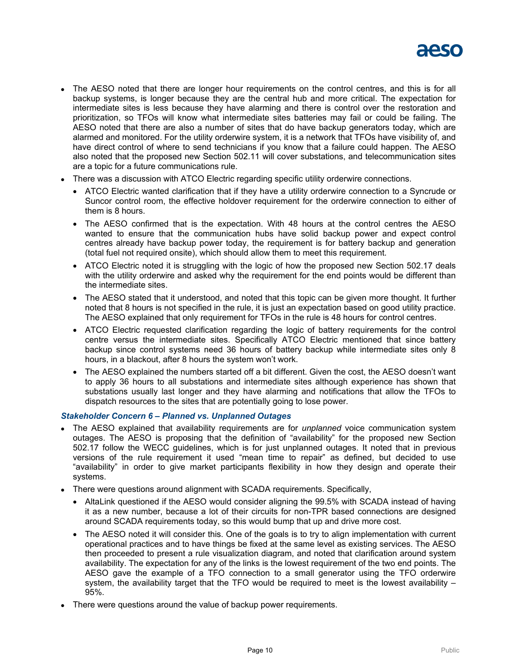

- The AESO noted that there are longer hour requirements on the control centres, and this is for all backup systems, is longer because they are the central hub and more critical. The expectation for intermediate sites is less because they have alarming and there is control over the restoration and prioritization, so TFOs will know what intermediate sites batteries may fail or could be failing. The AESO noted that there are also a number of sites that do have backup generators today, which are alarmed and monitored. For the utility orderwire system, it is a network that TFOs have visibility of, and have direct control of where to send technicians if you know that a failure could happen. The AESO also noted that the proposed new Section 502.11 will cover substations, and telecommunication sites are a topic for a future communications rule.
- There was a discussion with ATCO Electric regarding specific utility orderwire connections.
	- ATCO Electric wanted clarification that if they have a utility orderwire connection to a Syncrude or Suncor control room, the effective holdover requirement for the orderwire connection to either of them is 8 hours.
	- The AESO confirmed that is the expectation. With 48 hours at the control centres the AESO wanted to ensure that the communication hubs have solid backup power and expect control centres already have backup power today, the requirement is for battery backup and generation (total fuel not required onsite), which should allow them to meet this requirement.
	- ATCO Electric noted it is struggling with the logic of how the proposed new Section 502.17 deals with the utility orderwire and asked why the requirement for the end points would be different than the intermediate sites.
	- The AESO stated that it understood, and noted that this topic can be given more thought. It further noted that 8 hours is not specified in the rule, it is just an expectation based on good utility practice. The AESO explained that only requirement for TFOs in the rule is 48 hours for control centres.
	- ATCO Electric requested clarification regarding the logic of battery requirements for the control centre versus the intermediate sites. Specifically ATCO Electric mentioned that since battery backup since control systems need 36 hours of battery backup while intermediate sites only 8 hours, in a blackout, after 8 hours the system won't work.
	- The AESO explained the numbers started off a bit different. Given the cost, the AESO doesn't want to apply 36 hours to all substations and intermediate sites although experience has shown that substations usually last longer and they have alarming and notifications that allow the TFOs to dispatch resources to the sites that are potentially going to lose power.

## *Stakeholder Concern 6 – Planned vs. Unplanned Outages*

- The AESO explained that availability requirements are for *unplanned* voice communication system outages. The AESO is proposing that the definition of "availability" for the proposed new Section 502.17 follow the WECC guidelines, which is for just unplanned outages. It noted that in previous versions of the rule requirement it used "mean time to repair" as defined, but decided to use "availability" in order to give market participants flexibility in how they design and operate their systems.
- There were questions around alignment with SCADA requirements. Specifically,
	- AltaLink questioned if the AESO would consider aligning the 99.5% with SCADA instead of having it as a new number, because a lot of their circuits for non-TPR based connections are designed around SCADA requirements today, so this would bump that up and drive more cost.
	- The AESO noted it will consider this. One of the goals is to try to align implementation with current operational practices and to have things be fixed at the same level as existing services. The AESO then proceeded to present a rule visualization diagram, and noted that clarification around system availability. The expectation for any of the links is the lowest requirement of the two end points. The AESO gave the example of a TFO connection to a small generator using the TFO orderwire system, the availability target that the TFO would be required to meet is the lowest availability – 95%.
- There were questions around the value of backup power requirements.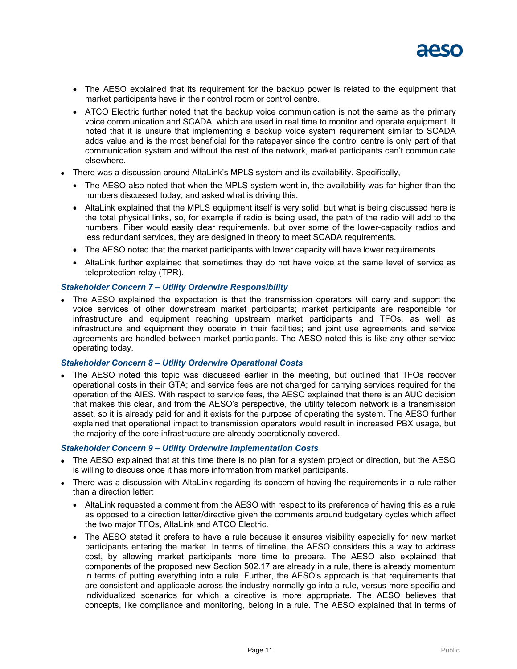

- The AESO explained that its requirement for the backup power is related to the equipment that market participants have in their control room or control centre.
- ATCO Electric further noted that the backup voice communication is not the same as the primary voice communication and SCADA, which are used in real time to monitor and operate equipment. It noted that it is unsure that implementing a backup voice system requirement similar to SCADA adds value and is the most beneficial for the ratepayer since the control centre is only part of that communication system and without the rest of the network, market participants can't communicate elsewhere.
- There was a discussion around AltaLink's MPLS system and its availability. Specifically,
	- The AESO also noted that when the MPLS system went in, the availability was far higher than the numbers discussed today, and asked what is driving this.
	- AltaLink explained that the MPLS equipment itself is very solid, but what is being discussed here is the total physical links, so, for example if radio is being used, the path of the radio will add to the numbers. Fiber would easily clear requirements, but over some of the lower-capacity radios and less redundant services, they are designed in theory to meet SCADA requirements.
	- The AESO noted that the market participants with lower capacity will have lower requirements.
	- AltaLink further explained that sometimes they do not have voice at the same level of service as teleprotection relay (TPR).

#### *Stakeholder Concern 7 – Utility Orderwire Responsibility*

 The AESO explained the expectation is that the transmission operators will carry and support the voice services of other downstream market participants; market participants are responsible for infrastructure and equipment reaching upstream market participants and TFOs, as well as infrastructure and equipment they operate in their facilities; and joint use agreements and service agreements are handled between market participants. The AESO noted this is like any other service operating today.

#### *Stakeholder Concern 8 – Utility Orderwire Operational Costs*

 The AESO noted this topic was discussed earlier in the meeting, but outlined that TFOs recover operational costs in their GTA; and service fees are not charged for carrying services required for the operation of the AIES. With respect to service fees, the AESO explained that there is an AUC decision that makes this clear, and from the AESO's perspective, the utility telecom network is a transmission asset, so it is already paid for and it exists for the purpose of operating the system. The AESO further explained that operational impact to transmission operators would result in increased PBX usage, but the majority of the core infrastructure are already operationally covered.

#### *Stakeholder Concern 9 – Utility Orderwire Implementation Costs*

- The AESO explained that at this time there is no plan for a system project or direction, but the AESO is willing to discuss once it has more information from market participants.
- There was a discussion with AltaLink regarding its concern of having the requirements in a rule rather than a direction letter:
	- AltaLink requested a comment from the AESO with respect to its preference of having this as a rule as opposed to a direction letter/directive given the comments around budgetary cycles which affect the two major TFOs, AltaLink and ATCO Electric.
	- The AESO stated it prefers to have a rule because it ensures visibility especially for new market participants entering the market. In terms of timeline, the AESO considers this a way to address cost, by allowing market participants more time to prepare. The AESO also explained that components of the proposed new Section 502.17 are already in a rule, there is already momentum in terms of putting everything into a rule. Further, the AESO's approach is that requirements that are consistent and applicable across the industry normally go into a rule, versus more specific and individualized scenarios for which a directive is more appropriate. The AESO believes that concepts, like compliance and monitoring, belong in a rule. The AESO explained that in terms of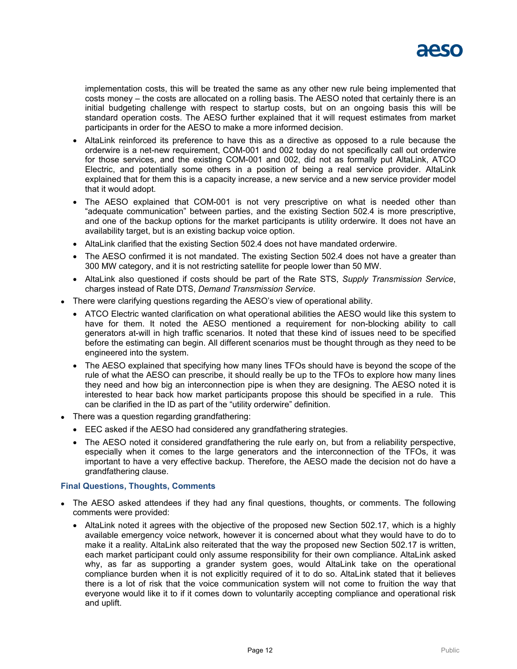implementation costs, this will be treated the same as any other new rule being implemented that costs money – the costs are allocated on a rolling basis. The AESO noted that certainly there is an initial budgeting challenge with respect to startup costs, but on an ongoing basis this will be standard operation costs. The AESO further explained that it will request estimates from market participants in order for the AESO to make a more informed decision.

- AltaLink reinforced its preference to have this as a directive as opposed to a rule because the orderwire is a net-new requirement, COM-001 and 002 today do not specifically call out orderwire for those services, and the existing COM-001 and 002, did not as formally put AltaLink, ATCO Electric, and potentially some others in a position of being a real service provider. AltaLink explained that for them this is a capacity increase, a new service and a new service provider model that it would adopt.
- The AESO explained that COM-001 is not very prescriptive on what is needed other than "adequate communication" between parties, and the existing Section 502.4 is more prescriptive, and one of the backup options for the market participants is utility orderwire. It does not have an availability target, but is an existing backup voice option.
- AltaLink clarified that the existing Section 502.4 does not have mandated orderwire.
- The AESO confirmed it is not mandated. The existing Section 502.4 does not have a greater than 300 MW category, and it is not restricting satellite for people lower than 50 MW.
- AltaLink also questioned if costs should be part of the Rate STS, *Supply Transmission Service*, charges instead of Rate DTS, *Demand Transmission Service*.
- There were clarifying questions regarding the AESO's view of operational ability.
	- ATCO Electric wanted clarification on what operational abilities the AESO would like this system to have for them. It noted the AESO mentioned a requirement for non-blocking ability to call generators at-will in high traffic scenarios. It noted that these kind of issues need to be specified before the estimating can begin. All different scenarios must be thought through as they need to be engineered into the system.
	- The AESO explained that specifying how many lines TFOs should have is beyond the scope of the rule of what the AESO can prescribe, it should really be up to the TFOs to explore how many lines they need and how big an interconnection pipe is when they are designing. The AESO noted it is interested to hear back how market participants propose this should be specified in a rule. This can be clarified in the ID as part of the "utility orderwire" definition.
- There was a question regarding grandfathering:
	- EEC asked if the AESO had considered any grandfathering strategies.
	- The AESO noted it considered grandfathering the rule early on, but from a reliability perspective, especially when it comes to the large generators and the interconnection of the TFOs, it was important to have a very effective backup. Therefore, the AESO made the decision not do have a grandfathering clause.

## **Final Questions, Thoughts, Comments**

- The AESO asked attendees if they had any final questions, thoughts, or comments. The following comments were provided:
	- AltaLink noted it agrees with the objective of the proposed new Section 502.17, which is a highly available emergency voice network, however it is concerned about what they would have to do to make it a reality. AltaLink also reiterated that the way the proposed new Section 502.17 is written, each market participant could only assume responsibility for their own compliance. AltaLink asked why, as far as supporting a grander system goes, would AltaLink take on the operational compliance burden when it is not explicitly required of it to do so. AltaLink stated that it believes there is a lot of risk that the voice communication system will not come to fruition the way that everyone would like it to if it comes down to voluntarily accepting compliance and operational risk and uplift.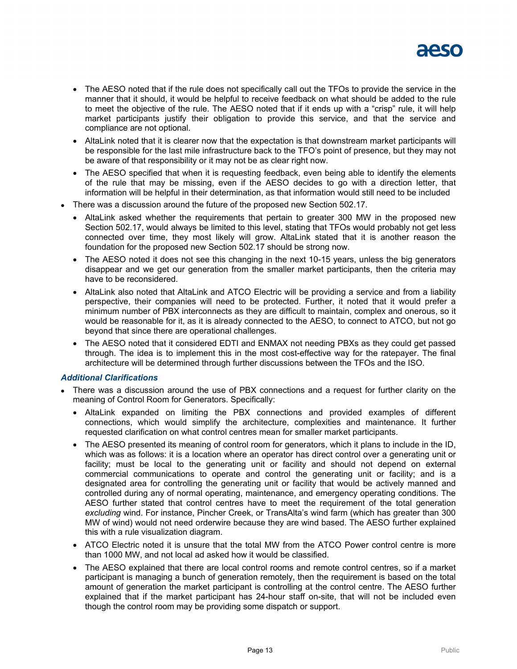

- The AESO noted that if the rule does not specifically call out the TFOs to provide the service in the manner that it should, it would be helpful to receive feedback on what should be added to the rule to meet the objective of the rule. The AESO noted that if it ends up with a "crisp" rule, it will help market participants justify their obligation to provide this service, and that the service and compliance are not optional.
- AltaLink noted that it is clearer now that the expectation is that downstream market participants will be responsible for the last mile infrastructure back to the TFO's point of presence, but they may not be aware of that responsibility or it may not be as clear right now.
- The AESO specified that when it is requesting feedback, even being able to identify the elements of the rule that may be missing, even if the AESO decides to go with a direction letter, that information will be helpful in their determination, as that information would still need to be included
- There was a discussion around the future of the proposed new Section 502.17.
	- AltaLink asked whether the requirements that pertain to greater 300 MW in the proposed new Section 502.17, would always be limited to this level, stating that TFOs would probably not get less connected over time, they most likely will grow. AltaLink stated that it is another reason the foundation for the proposed new Section 502.17 should be strong now.
	- The AESO noted it does not see this changing in the next 10-15 years, unless the big generators disappear and we get our generation from the smaller market participants, then the criteria may have to be reconsidered.
	- AltaLink also noted that AltaLink and ATCO Electric will be providing a service and from a liability perspective, their companies will need to be protected. Further, it noted that it would prefer a minimum number of PBX interconnects as they are difficult to maintain, complex and onerous, so it would be reasonable for it, as it is already connected to the AESO, to connect to ATCO, but not go beyond that since there are operational challenges.
	- The AESO noted that it considered EDTI and ENMAX not needing PBXs as they could get passed through. The idea is to implement this in the most cost-effective way for the ratepayer. The final architecture will be determined through further discussions between the TFOs and the ISO.

#### *Additional Clarifications*

- There was a discussion around the use of PBX connections and a request for further clarity on the meaning of Control Room for Generators. Specifically:
	- AltaLink expanded on limiting the PBX connections and provided examples of different connections, which would simplify the architecture, complexities and maintenance. It further requested clarification on what control centres mean for smaller market participants.
	- The AESO presented its meaning of control room for generators, which it plans to include in the ID, which was as follows: it is a location where an operator has direct control over a generating unit or facility; must be local to the generating unit or facility and should not depend on external commercial communications to operate and control the generating unit or facility; and is a designated area for controlling the generating unit or facility that would be actively manned and controlled during any of normal operating, maintenance, and emergency operating conditions. The AESO further stated that control centres have to meet the requirement of the total generation *excluding* wind. For instance, Pincher Creek, or TransAlta's wind farm (which has greater than 300 MW of wind) would not need orderwire because they are wind based. The AESO further explained this with a rule visualization diagram.
	- ATCO Electric noted it is unsure that the total MW from the ATCO Power control centre is more than 1000 MW, and not local ad asked how it would be classified.
	- The AESO explained that there are local control rooms and remote control centres, so if a market participant is managing a bunch of generation remotely, then the requirement is based on the total amount of generation the market participant is controlling at the control centre. The AESO further explained that if the market participant has 24-hour staff on-site, that will not be included even though the control room may be providing some dispatch or support.